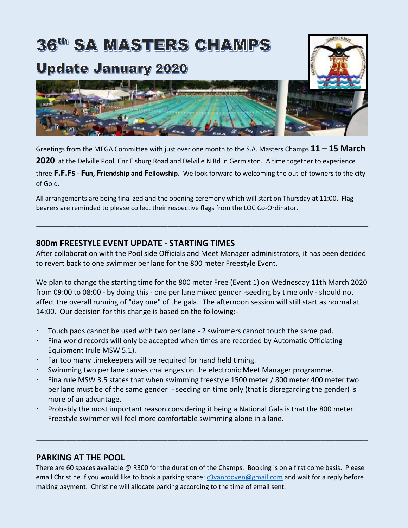# **36th SA MASTERS CHAMPS**

# **Update January 2020**



Greetings from the MEGA Committee with just over one month to the S.A. Masters Champs **11 – 15 March**  2020 at the Delville Pool, Cnr Elsburg Road and Delville N Rd in Germiston. A time together to experience three **F.F.Fs- Fun, Friendship and Fellowship**. We look forward to welcoming the out-of-towners to the city of Gold.

All arrangements are being finalized and the opening ceremony which will start on Thursday at 11:00. Flag bearers are reminded to please collect their respective flags from the LOC Co-Ordinator.

#### **800m FREESTYLE EVENT UPDATE - STARTING TIMES**

After collaboration with the Pool side Officials and Meet Manager administrators, it has been decided to revert back to one swimmer per lane for the 800 meter Freestyle Event.

\_\_\_\_\_\_\_\_\_\_\_\_\_\_\_\_\_\_\_\_\_\_\_\_\_\_\_\_\_\_\_\_\_\_\_\_\_\_\_\_\_\_\_\_\_\_\_\_\_\_\_\_\_\_\_\_\_\_\_\_\_\_\_\_\_\_\_\_\_\_\_\_\_\_\_\_\_\_\_\_\_\_\_\_\_\_\_\_\_\_\_

We plan to change the starting time for the 800 meter Free (Event 1) on Wednesday 11th March 2020 from 09:00 to 08:00 - by doing this - one per lane mixed gender -seeding by time only - should not affect the overall running of "day one" of the gala. The afternoon session will still start as normal at 14:00. Our decision for this change is based on the following:-

- Touch pads cannot be used with two per lane 2 swimmers cannot touch the same pad.
- Fina world records will only be accepted when times are recorded by Automatic Officiating Equipment (rule MSW 5.1).
- Far too many timekeepers will be required for hand held timing.
- Swimming two per lane causes challenges on the electronic Meet Manager programme.
- Fina rule MSW 3.5 states that when swimming freestyle 1500 meter / 800 meter 400 meter two per lane must be of the same gender - seeding on time only (that is disregarding the gender) is more of an advantage.
- Probably the most important reason considering it being a National Gala is that the 800 meter Freestyle swimmer will feel more comfortable swimming alone in a lane.

#### **PARKING AT THE POOL**

There are 60 spaces available @ R300 for the duration of the Champs. Booking is on a first come basis. Please email Christine if you would like to book a parking space: [c3vanrooyen@gmail.com](mailto:c3vanrooyen@gmail.com) and wait for a reply before making payment. Christine will allocate parking according to the time of email sent.

\_\_\_\_\_\_\_\_\_\_\_\_\_\_\_\_\_\_\_\_\_\_\_\_\_\_\_\_\_\_\_\_\_\_\_\_\_\_\_\_\_\_\_\_\_\_\_\_\_\_\_\_\_\_\_\_\_\_\_\_\_\_\_\_\_\_\_\_\_\_\_\_\_\_\_\_\_\_\_\_\_\_\_\_\_\_\_\_\_\_\_